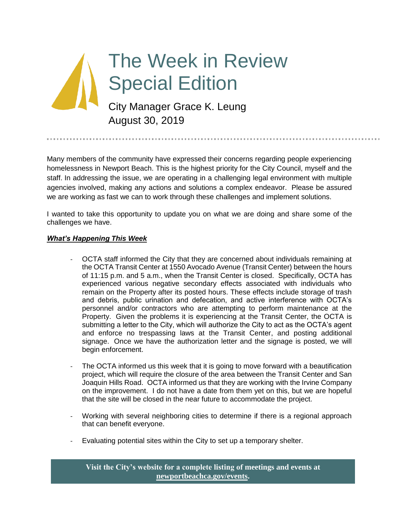# The Week in Review Special Edition City Manager Grace K. Leung August 30, 2019

Many members of the community have expressed their concerns regarding people experiencing homelessness in Newport Beach. This is the highest priority for the City Council, myself and the staff. In addressing the issue, we are operating in a challenging legal environment with multiple agencies involved, making any actions and solutions a complex endeavor. Please be assured we are working as fast we can to work through these challenges and implement solutions.

I wanted to take this opportunity to update you on what we are doing and share some of the challenges we have.

## *What's Happening This Week*

- OCTA staff informed the City that they are concerned about individuals remaining at the OCTA Transit Center at 1550 Avocado Avenue (Transit Center) between the hours of 11:15 p.m. and 5 a.m., when the Transit Center is closed. Specifically, OCTA has experienced various negative secondary effects associated with individuals who remain on the Property after its posted hours. These effects include storage of trash and debris, public urination and defecation, and active interference with OCTA's personnel and/or contractors who are attempting to perform maintenance at the Property. Given the problems it is experiencing at the Transit Center, the OCTA is submitting a letter to the City, which will authorize the City to act as the OCTA's agent and enforce no trespassing laws at the Transit Center, and posting additional signage. Once we have the authorization letter and the signage is posted, we will begin enforcement.
- The OCTA informed us this week that it is going to move forward with a beautification project, which will require the closure of the area between the Transit Center and San Joaquin Hills Road. OCTA informed us that they are working with the Irvine Company on the improvement. I do not have a date from them yet on this, but we are hopeful that the site will be closed in the near future to accommodate the project.
- Working with several neighboring cities to determine if there is a regional approach that can benefit everyone.
- Evaluating potential sites within the City to set up a temporary shelter.

**Visit the City's website for a complete listing of meetings and events at [newportbeachca.gov/events.](https://www.newportbeachca.gov/government/open-government/city-calendar)**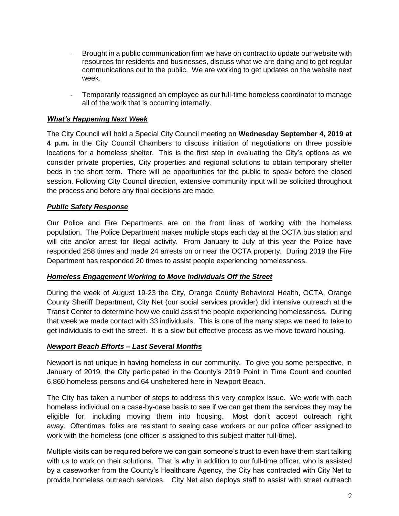- Brought in a public communication firm we have on contract to update our website with resources for residents and businesses, discuss what we are doing and to get regular communications out to the public. We are working to get updates on the website next week.
- Temporarily reassigned an employee as our full-time homeless coordinator to manage all of the work that is occurring internally.

## *What's Happening Next Week*

The City Council will hold a Special City Council meeting on **Wednesday September 4, 2019 at 4 p.m.** in the City Council Chambers to discuss initiation of negotiations on three possible locations for a homeless shelter. This is the first step in evaluating the City's options as we consider private properties, City properties and regional solutions to obtain temporary shelter beds in the short term. There will be opportunities for the public to speak before the closed session. Following City Council direction, extensive community input will be solicited throughout the process and before any final decisions are made.

## *Public Safety Response*

Our Police and Fire Departments are on the front lines of working with the homeless population. The Police Department makes multiple stops each day at the OCTA bus station and will cite and/or arrest for illegal activity. From January to July of this year the Police have responded 258 times and made 24 arrests on or near the OCTA property. During 2019 the Fire Department has responded 20 times to assist people experiencing homelessness.

#### *Homeless Engagement Working to Move Individuals Off the Street*

During the week of August 19-23 the City, Orange County Behavioral Health, OCTA, Orange County Sheriff Department, City Net (our social services provider) did intensive outreach at the Transit Center to determine how we could assist the people experiencing homelessness. During that week we made contact with 33 individuals. This is one of the many steps we need to take to get individuals to exit the street. It is a slow but effective process as we move toward housing.

#### *Newport Beach Efforts – Last Several Months*

Newport is not unique in having homeless in our community. To give you some perspective, in January of 2019, the City participated in the County's 2019 Point in Time Count and counted 6,860 homeless persons and 64 unsheltered here in Newport Beach.

The City has taken a number of steps to address this very complex issue. We work with each homeless individual on a case-by-case basis to see if we can get them the services they may be eligible for, including moving them into housing. Most don't accept outreach right away. Oftentimes, folks are resistant to seeing case workers or our police officer assigned to work with the homeless (one officer is assigned to this subject matter full-time).

Multiple visits can be required before we can gain someone's trust to even have them start talking with us to work on their solutions. That is why in addition to our full-time officer, who is assisted by a caseworker from the County's Healthcare Agency, the City has contracted with City Net to provide homeless outreach services. City Net also deploys staff to assist with street outreach